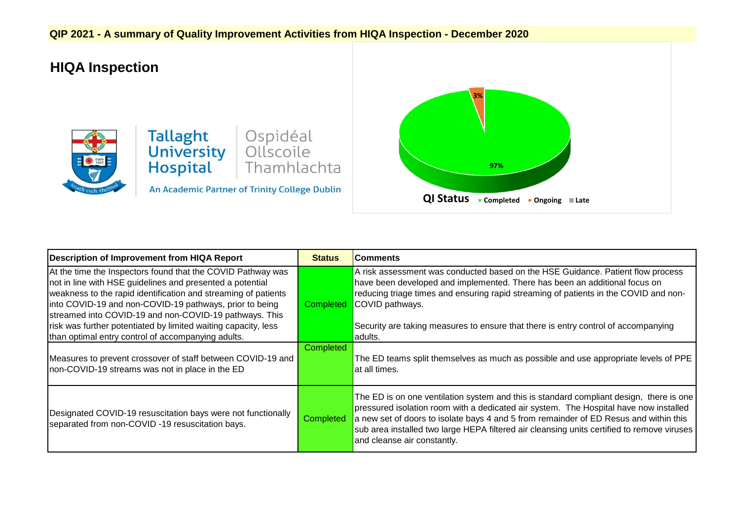## **QIP 2021 - A summary of Quality Improvement Activities from HIQA Inspection - December 2020**

## **HIQA Inspection**



## **Tallaght**<br> **University** Ollscoile<br> **Hospital** Thamhlac Thamhlachta

An Academic Partner of Trinity College Dublin



| Description of Improvement from HIQA Report                                                                                                                                                                                                                                                                                                                                                                                             | <b>Status</b> | <b>Comments</b>                                                                                                                                                                                                                                                                                                                                                                                        |
|-----------------------------------------------------------------------------------------------------------------------------------------------------------------------------------------------------------------------------------------------------------------------------------------------------------------------------------------------------------------------------------------------------------------------------------------|---------------|--------------------------------------------------------------------------------------------------------------------------------------------------------------------------------------------------------------------------------------------------------------------------------------------------------------------------------------------------------------------------------------------------------|
| At the time the Inspectors found that the COVID Pathway was<br>not in line with HSE guidelines and presented a potential<br>weakness to the rapid identification and streaming of patients<br>into COVID-19 and non-COVID-19 pathways, prior to being<br>streamed into COVID-19 and non-COVID-19 pathways. This<br>risk was further potentiated by limited waiting capacity, less<br>than optimal entry control of accompanying adults. |               | A risk assessment was conducted based on the HSE Guidance. Patient flow process<br>have been developed and implemented. There has been an additional focus on<br>reducing triage times and ensuring rapid streaming of patients in the COVID and non-<br><b>Completed</b> COVID pathways.<br>Security are taking measures to ensure that there is entry control of accompanying<br>adults.             |
| Measures to prevent crossover of staff between COVID-19 and<br>non-COVID-19 streams was not in place in the ED                                                                                                                                                                                                                                                                                                                          | Completed     | The ED teams split themselves as much as possible and use appropriate levels of PPE<br>at all times.                                                                                                                                                                                                                                                                                                   |
| Designated COVID-19 resuscitation bays were not functionally<br>separated from non-COVID -19 resuscitation bays.                                                                                                                                                                                                                                                                                                                        | Completed     | The ED is on one ventilation system and this is standard compliant design, there is one<br>pressured isolation room with a dedicated air system. The Hospital have now installed<br>a new set of doors to isolate bays 4 and 5 from remainder of ED Resus and within this<br>sub area installed two large HEPA filtered air cleansing units certified to remove viruses<br>and cleanse air constantly. |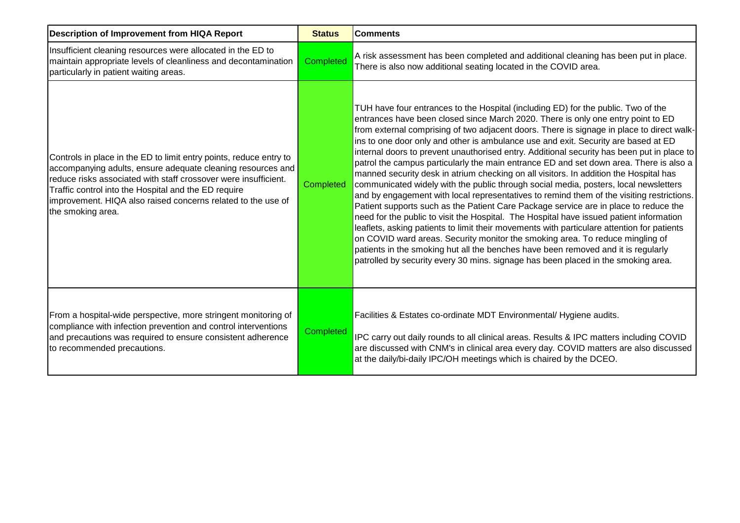| <b>Description of Improvement from HIQA Report</b>                                                                                                                                                                                                                                                                                                | <b>Status</b> | <b>Comments</b>                                                                                                                                                                                                                                                                                                                                                                                                                                                                                                                                                                                                                                                                                                                                                                                                                                                                                                                                                                                                                                                                                                                                                                                                                                                                                                                                                            |
|---------------------------------------------------------------------------------------------------------------------------------------------------------------------------------------------------------------------------------------------------------------------------------------------------------------------------------------------------|---------------|----------------------------------------------------------------------------------------------------------------------------------------------------------------------------------------------------------------------------------------------------------------------------------------------------------------------------------------------------------------------------------------------------------------------------------------------------------------------------------------------------------------------------------------------------------------------------------------------------------------------------------------------------------------------------------------------------------------------------------------------------------------------------------------------------------------------------------------------------------------------------------------------------------------------------------------------------------------------------------------------------------------------------------------------------------------------------------------------------------------------------------------------------------------------------------------------------------------------------------------------------------------------------------------------------------------------------------------------------------------------------|
| Insufficient cleaning resources were allocated in the ED to<br>maintain appropriate levels of cleanliness and decontamination<br>particularly in patient waiting areas.                                                                                                                                                                           | Completed     | A risk assessment has been completed and additional cleaning has been put in place.<br>There is also now additional seating located in the COVID area.                                                                                                                                                                                                                                                                                                                                                                                                                                                                                                                                                                                                                                                                                                                                                                                                                                                                                                                                                                                                                                                                                                                                                                                                                     |
| Controls in place in the ED to limit entry points, reduce entry to<br>accompanying adults, ensure adequate cleaning resources and<br>reduce risks associated with staff crossover were insufficient.<br>Traffic control into the Hospital and the ED require<br>improvement. HIQA also raised concerns related to the use of<br>the smoking area. | Completed     | TUH have four entrances to the Hospital (including ED) for the public. Two of the<br>entrances have been closed since March 2020. There is only one entry point to ED<br>from external comprising of two adjacent doors. There is signage in place to direct walk-<br>ins to one door only and other is ambulance use and exit. Security are based at ED<br>internal doors to prevent unauthorised entry. Additional security has been put in place to<br>patrol the campus particularly the main entrance ED and set down area. There is also a<br>manned security desk in atrium checking on all visitors. In addition the Hospital has<br>communicated widely with the public through social media, posters, local newsletters<br>and by engagement with local representatives to remind them of the visiting restrictions.<br>Patient supports such as the Patient Care Package service are in place to reduce the<br>need for the public to visit the Hospital. The Hospital have issued patient information<br>leaflets, asking patients to limit their movements with particulare attention for patients<br>on COVID ward areas. Security monitor the smoking area. To reduce mingling of<br>patients in the smoking hut all the benches have been removed and it is regularly<br>patrolled by security every 30 mins. signage has been placed in the smoking area. |
| From a hospital-wide perspective, more stringent monitoring of<br>compliance with infection prevention and control interventions<br>and precautions was required to ensure consistent adherence<br>to recommended precautions.                                                                                                                    | Completed     | Facilities & Estates co-ordinate MDT Environmental/ Hygiene audits.<br>IPC carry out daily rounds to all clinical areas. Results & IPC matters including COVID<br>are discussed with CNM's in clinical area every day. COVID matters are also discussed<br>at the daily/bi-daily IPC/OH meetings which is chaired by the DCEO.                                                                                                                                                                                                                                                                                                                                                                                                                                                                                                                                                                                                                                                                                                                                                                                                                                                                                                                                                                                                                                             |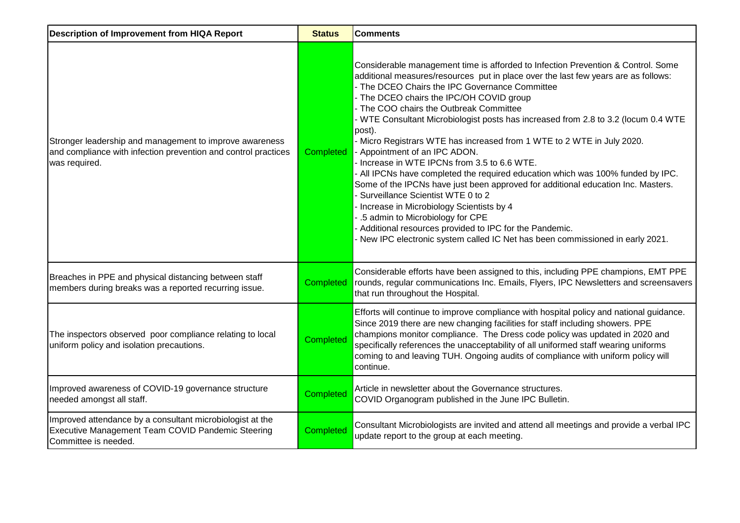| <b>Description of Improvement from HIQA Report</b>                                                                                         | <b>Status</b>    | <b>Comments</b>                                                                                                                                                                                                                                                                                                                                                                                                                                                                                                                                                                                                                                                                                                                                                                                                                                                                                                                                                                                                            |
|--------------------------------------------------------------------------------------------------------------------------------------------|------------------|----------------------------------------------------------------------------------------------------------------------------------------------------------------------------------------------------------------------------------------------------------------------------------------------------------------------------------------------------------------------------------------------------------------------------------------------------------------------------------------------------------------------------------------------------------------------------------------------------------------------------------------------------------------------------------------------------------------------------------------------------------------------------------------------------------------------------------------------------------------------------------------------------------------------------------------------------------------------------------------------------------------------------|
| Stronger leadership and management to improve awareness<br>and compliance with infection prevention and control practices<br>was required. | Completed        | Considerable management time is afforded to Infection Prevention & Control. Some<br>additional measures/resources put in place over the last few years are as follows:<br>- The DCEO Chairs the IPC Governance Committee<br>- The DCEO chairs the IPC/OH COVID group<br>- The COO chairs the Outbreak Committee<br>- WTE Consultant Microbiologist posts has increased from 2.8 to 3.2 (locum 0.4 WTE<br>post).<br>- Micro Registrars WTE has increased from 1 WTE to 2 WTE in July 2020.<br>- Appointment of an IPC ADON.<br>- Increase in WTE IPCNs from 3.5 to 6.6 WTE.<br>- All IPCNs have completed the required education which was 100% funded by IPC.<br>Some of the IPCNs have just been approved for additional education Inc. Masters.<br>- Surveillance Scientist WTE 0 to 2<br>- Increase in Microbiology Scientists by 4<br>- .5 admin to Microbiology for CPE<br>- Additional resources provided to IPC for the Pandemic.<br>- New IPC electronic system called IC Net has been commissioned in early 2021. |
| Breaches in PPE and physical distancing between staff<br>members during breaks was a reported recurring issue.                             | <b>Completed</b> | Considerable efforts have been assigned to this, including PPE champions, EMT PPE<br>rounds, regular communications Inc. Emails, Flyers, IPC Newsletters and screensavers<br>that run throughout the Hospital.                                                                                                                                                                                                                                                                                                                                                                                                                                                                                                                                                                                                                                                                                                                                                                                                             |
| The inspectors observed poor compliance relating to local<br>uniform policy and isolation precautions.                                     | <b>Completed</b> | Efforts will continue to improve compliance with hospital policy and national guidance.<br>Since 2019 there are new changing facilities for staff including showers. PPE<br>champions monitor compliance. The Dress code policy was updated in 2020 and<br>specifically references the unacceptability of all uniformed staff wearing uniforms<br>coming to and leaving TUH. Ongoing audits of compliance with uniform policy will<br>continue.                                                                                                                                                                                                                                                                                                                                                                                                                                                                                                                                                                            |
| Improved awareness of COVID-19 governance structure<br>needed amongst all staff.                                                           | <b>Completed</b> | Article in newsletter about the Governance structures.<br>COVID Organogram published in the June IPC Bulletin.                                                                                                                                                                                                                                                                                                                                                                                                                                                                                                                                                                                                                                                                                                                                                                                                                                                                                                             |
| Improved attendance by a consultant microbiologist at the<br>Executive Management Team COVID Pandemic Steering<br>Committee is needed.     | <b>Completed</b> | Consultant Microbiologists are invited and attend all meetings and provide a verbal IPC<br>update report to the group at each meeting.                                                                                                                                                                                                                                                                                                                                                                                                                                                                                                                                                                                                                                                                                                                                                                                                                                                                                     |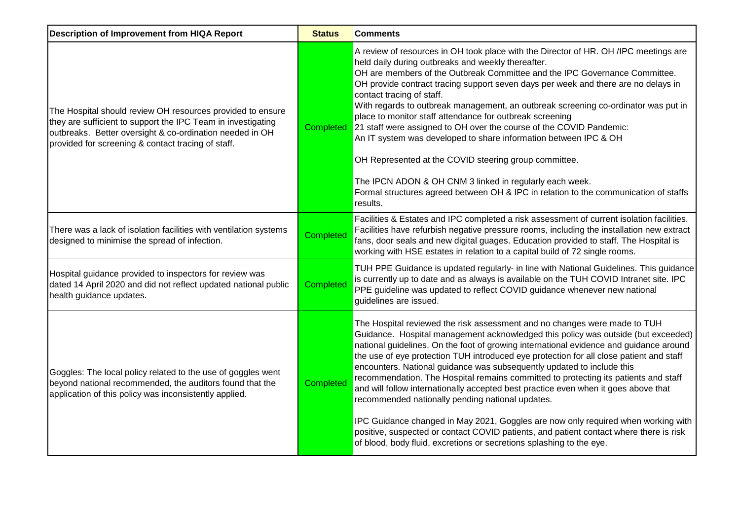| <b>Description of Improvement from HIQA Report</b>                                                                                                                                                                                           | <b>Status</b>    | <b>Comments</b>                                                                                                                                                                                                                                                                                                                                                                                                                                                                                                                                                                                                                                                                                                                                                                                                                                                                                                        |
|----------------------------------------------------------------------------------------------------------------------------------------------------------------------------------------------------------------------------------------------|------------------|------------------------------------------------------------------------------------------------------------------------------------------------------------------------------------------------------------------------------------------------------------------------------------------------------------------------------------------------------------------------------------------------------------------------------------------------------------------------------------------------------------------------------------------------------------------------------------------------------------------------------------------------------------------------------------------------------------------------------------------------------------------------------------------------------------------------------------------------------------------------------------------------------------------------|
| The Hospital should review OH resources provided to ensure<br>they are sufficient to support the IPC Team in investigating<br>outbreaks. Better oversight & co-ordination needed in OH<br>provided for screening & contact tracing of staff. | Completed        | A review of resources in OH took place with the Director of HR. OH /IPC meetings are<br>held daily during outbreaks and weekly thereafter.<br>OH are members of the Outbreak Committee and the IPC Governance Committee.<br>OH provide contract tracing support seven days per week and there are no delays in<br>contact tracing of staff.<br>With regards to outbreak management, an outbreak screening co-ordinator was put in<br>place to monitor staff attendance for outbreak screening<br>21 staff were assigned to OH over the course of the COVID Pandemic:<br>An IT system was developed to share information between IPC & OH<br>OH Represented at the COVID steering group committee.<br>The IPCN ADON & OH CNM 3 linked in regularly each week.<br>Formal structures agreed between OH & IPC in relation to the communication of staffs<br>results.                                                       |
| There was a lack of isolation facilities with ventilation systems<br>designed to minimise the spread of infection.                                                                                                                           | <b>Completed</b> | Facilities & Estates and IPC completed a risk assessment of current isolation facilities.<br>Facilities have refurbish negative pressure rooms, including the installation new extract<br>fans, door seals and new digital guages. Education provided to staff. The Hospital is<br>working with HSE estates in relation to a capital build of 72 single rooms.                                                                                                                                                                                                                                                                                                                                                                                                                                                                                                                                                         |
| Hospital guidance provided to inspectors for review was<br>dated 14 April 2020 and did not reflect updated national public<br>health guidance updates.                                                                                       | <b>Completed</b> | TUH PPE Guidance is updated regularly- in line with National Guidelines. This guidance<br>is currently up to date and as always is available on the TUH COVID Intranet site. IPC<br>PPE guideline was updated to reflect COVID guidance whenever new national<br>guidelines are issued.                                                                                                                                                                                                                                                                                                                                                                                                                                                                                                                                                                                                                                |
| Goggles: The local policy related to the use of goggles went<br>beyond national recommended, the auditors found that the<br>application of this policy was inconsistently applied.                                                           | <b>Completed</b> | The Hospital reviewed the risk assessment and no changes were made to TUH<br>Guidance. Hospital management acknowledged this policy was outside (but exceeded)<br>national guidelines. On the foot of growing international evidence and guidance around<br>the use of eye protection TUH introduced eye protection for all close patient and staff<br>encounters. National guidance was subsequently updated to include this<br>recommendation. The Hospital remains committed to protecting its patients and staff<br>and will follow internationally accepted best practice even when it goes above that<br>recommended nationally pending national updates.<br>IPC Guidance changed in May 2021, Goggles are now only required when working with<br>positive, suspected or contact COVID patients, and patient contact where there is risk<br>of blood, body fluid, excretions or secretions splashing to the eye. |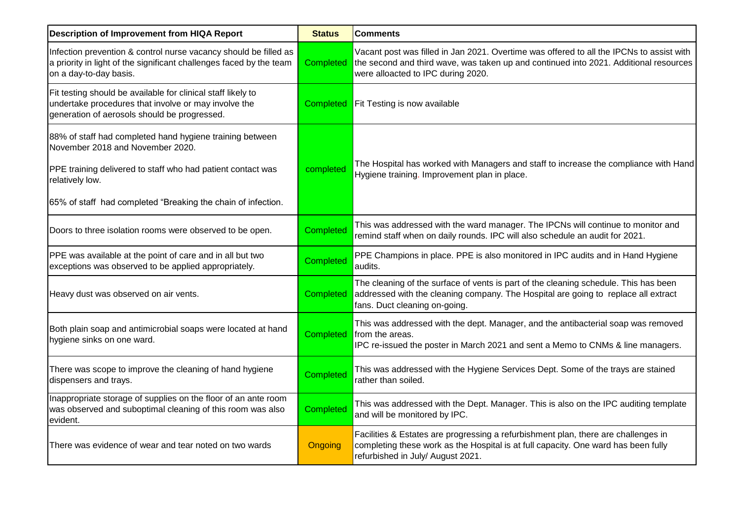| <b>Description of Improvement from HIQA Report</b>                                                                                                                   | <b>Status</b>    | <b>Comments</b>                                                                                                                                                                                                         |
|----------------------------------------------------------------------------------------------------------------------------------------------------------------------|------------------|-------------------------------------------------------------------------------------------------------------------------------------------------------------------------------------------------------------------------|
| Infection prevention & control nurse vacancy should be filled as<br>a priority in light of the significant challenges faced by the team<br>on a day-to-day basis.    | Completed        | Vacant post was filled in Jan 2021. Overtime was offered to all the IPCNs to assist with<br>the second and third wave, was taken up and continued into 2021. Additional resources<br>were alloacted to IPC during 2020. |
| Fit testing should be available for clinical staff likely to<br>undertake procedures that involve or may involve the<br>generation of aerosols should be progressed. | Completed        | Fit Testing is now available                                                                                                                                                                                            |
| 88% of staff had completed hand hygiene training between<br>November 2018 and November 2020.                                                                         |                  | The Hospital has worked with Managers and staff to increase the compliance with Hand                                                                                                                                    |
| PPE training delivered to staff who had patient contact was<br>relatively low.                                                                                       | completed        | Hygiene training. Improvement plan in place.                                                                                                                                                                            |
| 65% of staff had completed "Breaking the chain of infection.                                                                                                         |                  |                                                                                                                                                                                                                         |
| Doors to three isolation rooms were observed to be open.                                                                                                             | <b>Completed</b> | This was addressed with the ward manager. The IPCNs will continue to monitor and<br>remind staff when on daily rounds. IPC will also schedule an audit for 2021.                                                        |
| PPE was available at the point of care and in all but two<br>exceptions was observed to be applied appropriately.                                                    | Completed        | PPE Champions in place. PPE is also monitored in IPC audits and in Hand Hygiene<br>audits.                                                                                                                              |
| Heavy dust was observed on air vents.                                                                                                                                | Completed        | The cleaning of the surface of vents is part of the cleaning schedule. This has been<br>addressed with the cleaning company. The Hospital are going to replace all extract<br>fans. Duct cleaning on-going.             |
| Both plain soap and antimicrobial soaps were located at hand<br>hygiene sinks on one ward.                                                                           | Completed        | This was addressed with the dept. Manager, and the antibacterial soap was removed<br>from the areas.<br>IPC re-issued the poster in March 2021 and sent a Memo to CNMs & line managers.                                 |
| There was scope to improve the cleaning of hand hygiene<br>dispensers and trays.                                                                                     | <b>Completed</b> | This was addressed with the Hygiene Services Dept. Some of the trays are stained<br>rather than soiled.                                                                                                                 |
| Inappropriate storage of supplies on the floor of an ante room<br>was observed and suboptimal cleaning of this room was also<br>evident.                             | <b>Completed</b> | This was addressed with the Dept. Manager. This is also on the IPC auditing template<br>and will be monitored by IPC.                                                                                                   |
| There was evidence of wear and tear noted on two wards                                                                                                               | Ongoing          | Facilities & Estates are progressing a refurbishment plan, there are challenges in<br>completing these work as the Hospital is at full capacity. One ward has been fully<br>refurbished in July/ August 2021.           |